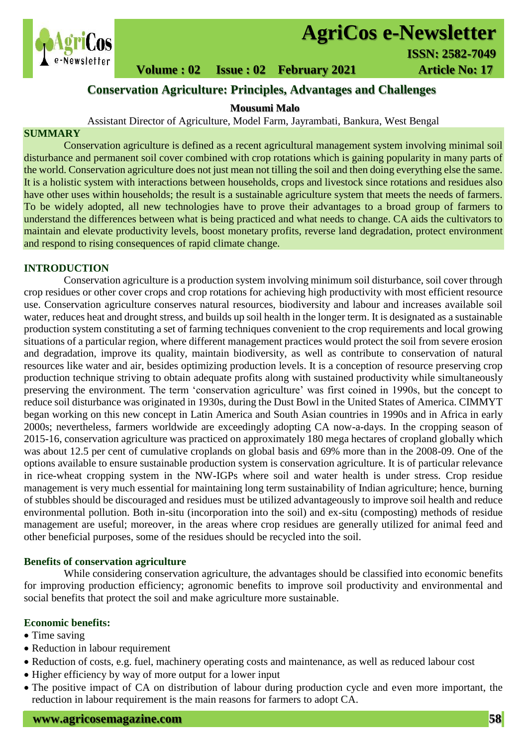

# **AgriCos e-Newsletter**

 **Volume : 02 Issue : 02 February 2021 4rticle No: 17** 

# **Conservation Agriculture: Principles, Advantages and Challenges**

#### **Mousumi Malo**

#### Assistant Director of Agriculture, Model Farm, Jayrambati, Bankura, West Bengal

#### **SUMMARY**

 Conservation agriculture is defined as a recent agricultural management system involving minimal soil disturbance and permanent soil cover combined with crop rotations which is gaining popularity in many parts of the world. Conservation agriculture does not just mean not tilling the soil and then doing everything else the same. It is a holistic system with interactions between households, crops and livestock since rotations and residues also have other uses within households; the result is a sustainable agriculture system that meets the needs of farmers. To be widely adopted, all new technologies have to prove their advantages to a broad group of farmers to understand the differences between what is being practiced and what needs to change. CA aids the cultivators to maintain and elevate productivity levels, boost monetary profits, reverse land degradation, protect environment and respond to rising consequences of rapid climate change.

#### **INTRODUCTION**

Conservation agriculture is a production system involving minimum soil disturbance, soil cover through crop residues or other cover crops and crop rotations for achieving high productivity with most efficient resource use. Conservation agriculture conserves natural resources, biodiversity and labour and increases available soil water, reduces heat and drought stress, and builds up soil health in the longer term. It is designated as a sustainable production system constituting a set of farming techniques convenient to the crop requirements and local growing situations of a particular region, where different management practices would protect the soil from severe erosion and degradation, improve its quality, maintain biodiversity, as well as contribute to conservation of natural resources like water and air, besides optimizing production levels. It is a conception of resource preserving crop production technique striving to obtain adequate profits along with sustained productivity while simultaneously preserving the environment. The term 'conservation agriculture' was first coined in 1990s, but the concept to reduce soil disturbance was originated in 1930s, during the Dust Bowl in the United States of America. CIMMYT began working on this new concept in Latin America and South Asian countries in 1990s and in Africa in early 2000s; nevertheless, farmers worldwide are exceedingly adopting CA now-a-days. In the cropping season of 2015-16, conservation agriculture was practiced on approximately 180 mega hectares of cropland globally which was about 12.5 per cent of cumulative croplands on global basis and 69% more than in the 2008-09. One of the options available to ensure sustainable production system is conservation agriculture. It is of particular relevance in rice-wheat cropping system in the NW-IGPs where soil and water health is under stress. Crop residue management is very much essential for maintaining long term sustainability of Indian agriculture; hence, burning of stubbles should be discouraged and residues must be utilized advantageously to improve soil health and reduce environmental pollution. Both in-situ (incorporation into the soil) and ex-situ (composting) methods of residue management are useful; moreover, in the areas where crop residues are generally utilized for animal feed and other beneficial purposes, some of the residues should be recycled into the soil.

#### **Benefits of conservation agriculture**

While considering conservation agriculture, the advantages should be classified into economic benefits for improving production efficiency; agronomic benefits to improve soil productivity and environmental and social benefits that protect the soil and make agriculture more sustainable.

#### **Economic benefits:**

- Time saving
- Reduction in labour requirement
- Reduction of costs, e.g. fuel, machinery operating costs and maintenance, as well as reduced labour cost
- Higher efficiency by way of more output for a lower input
- The positive impact of CA on distribution of labour during production cycle and even more important, the reduction in labour requirement is the main reasons for farmers to adopt CA.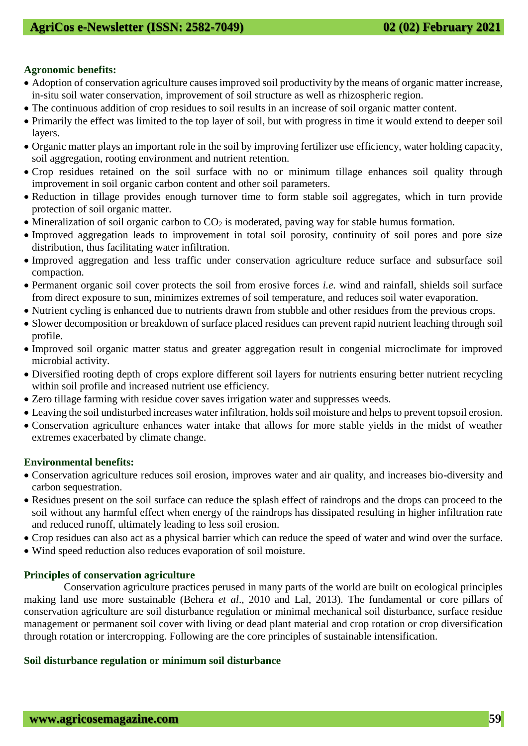#### **Agronomic benefits:**

- Adoption of conservation agriculture causes improved soil productivity by the means of organic matter increase, in-situ soil water conservation, improvement of soil structure as well as rhizospheric region.
- The continuous addition of crop residues to soil results in an increase of soil organic matter content.
- Primarily the effect was limited to the top layer of soil, but with progress in time it would extend to deeper soil layers.
- Organic matter plays an important role in the soil by improving fertilizer use efficiency, water holding capacity, soil aggregation, rooting environment and nutrient retention.
- Crop residues retained on the soil surface with no or minimum tillage enhances soil quality through improvement in soil organic carbon content and other soil parameters.
- Reduction in tillage provides enough turnover time to form stable soil aggregates, which in turn provide protection of soil organic matter.
- $\bullet$  Mineralization of soil organic carbon to CO<sub>2</sub> is moderated, paving way for stable humus formation.
- Improved aggregation leads to improvement in total soil porosity, continuity of soil pores and pore size distribution, thus facilitating water infiltration.
- Improved aggregation and less traffic under conservation agriculture reduce surface and subsurface soil compaction.
- Permanent organic soil cover protects the soil from erosive forces *i.e.* wind and rainfall, shields soil surface from direct exposure to sun, minimizes extremes of soil temperature, and reduces soil water evaporation.
- Nutrient cycling is enhanced due to nutrients drawn from stubble and other residues from the previous crops.
- Slower decomposition or breakdown of surface placed residues can prevent rapid nutrient leaching through soil profile.
- Improved soil organic matter status and greater aggregation result in congenial microclimate for improved microbial activity.
- Diversified rooting depth of crops explore different soil layers for nutrients ensuring better nutrient recycling within soil profile and increased nutrient use efficiency.
- Zero tillage farming with residue cover saves irrigation water and suppresses weeds.
- Leaving the soil undisturbed increases water infiltration, holds soil moisture and helps to prevent topsoil erosion.
- Conservation agriculture enhances water intake that allows for more stable yields in the midst of weather extremes exacerbated by climate change.

#### **Environmental benefits:**

- Conservation agriculture reduces soil erosion, improves water and air quality, and increases bio-diversity and carbon sequestration.
- Residues present on the soil surface can reduce the splash effect of raindrops and the drops can proceed to the soil without any harmful effect when energy of the raindrops has dissipated resulting in higher infiltration rate and reduced runoff, ultimately leading to less soil erosion.
- Crop residues can also act as a physical barrier which can reduce the speed of water and wind over the surface.
- Wind speed reduction also reduces evaporation of soil moisture.

#### **Principles of conservation agriculture**

Conservation agriculture practices perused in many parts of the world are built on ecological principles making land use more sustainable (Behera *et al*., 2010 and Lal, 2013). The fundamental or core pillars of conservation agriculture are soil disturbance regulation or minimal mechanical soil disturbance, surface residue management or permanent soil cover with living or dead plant material and crop rotation or crop diversification through rotation or intercropping. Following are the core principles of sustainable intensification.

#### **Soil disturbance regulation or minimum soil disturbance**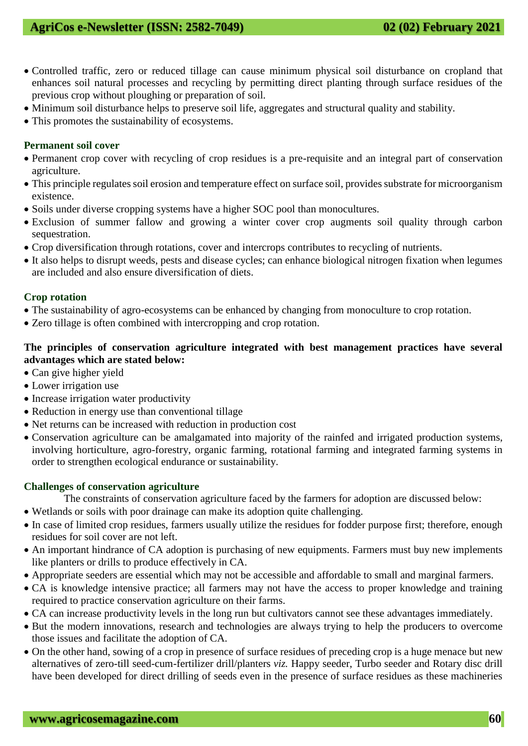## **AgriCos e-Newsletter (ISSN: 2582-7049) 02 (02) February 2021**

- Controlled traffic, zero or reduced tillage can cause minimum physical soil disturbance on cropland that enhances soil natural processes and recycling by permitting direct planting through surface residues of the previous crop without ploughing or preparation of soil.
- Minimum soil disturbance helps to preserve soil life, aggregates and structural quality and stability.
- This promotes the sustainability of ecosystems.

#### **Permanent soil cover**

- Permanent crop cover with recycling of crop residues is a pre-requisite and an integral part of conservation agriculture.
- This principle regulates soil erosion and temperature effect on surface soil, provides substrate for microorganism existence.
- Soils under diverse cropping systems have a higher SOC pool than monocultures.
- Exclusion of summer fallow and growing a winter cover crop augments soil quality through carbon sequestration.
- Crop diversification through rotations, cover and intercrops contributes to recycling of nutrients.
- It also helps to disrupt weeds, pests and disease cycles; can enhance biological nitrogen fixation when legumes are included and also ensure diversification of diets.

#### **Crop rotation**

- The sustainability of agro-ecosystems can be enhanced by changing from monoculture to crop rotation.
- Zero tillage is often combined with intercropping and crop rotation.

### **The principles of conservation agriculture integrated with best management practices have several advantages which are stated below:**

- Can give higher yield
- Lower irrigation use
- Increase irrigation water productivity
- Reduction in energy use than conventional tillage
- Net returns can be increased with reduction in production cost
- Conservation agriculture can be amalgamated into majority of the rainfed and irrigated production systems, involving horticulture, agro-forestry, organic farming, rotational farming and integrated farming systems in order to strengthen ecological endurance or sustainability.

#### **Challenges of conservation agriculture**

The constraints of conservation agriculture faced by the farmers for adoption are discussed below:

- Wetlands or soils with poor drainage can make its adoption quite challenging.
- In case of limited crop residues, farmers usually utilize the residues for fodder purpose first; therefore, enough residues for soil cover are not left.
- An important hindrance of CA adoption is purchasing of new equipments. Farmers must buy new implements like planters or drills to produce effectively in CA.
- Appropriate seeders are essential which may not be accessible and affordable to small and marginal farmers.
- CA is knowledge intensive practice; all farmers may not have the access to proper knowledge and training required to practice conservation agriculture on their farms.
- CA can increase productivity levels in the long run but cultivators [cannot see these advantages immediately.](http://www.fao.org/3/a-i4066e.pdf)
- But the modern innovations, research and technologies are always trying to help the producers to overcome those issues and facilitate the adoption of CA.
- On the other hand, sowing of a crop in presence of surface residues of preceding crop is a huge menace but new alternatives of zero-till seed-cum-fertilizer drill/planters *viz.* Happy seeder, Turbo seeder and Rotary disc drill have been developed for direct drilling of seeds even in the presence of surface residues as these machineries